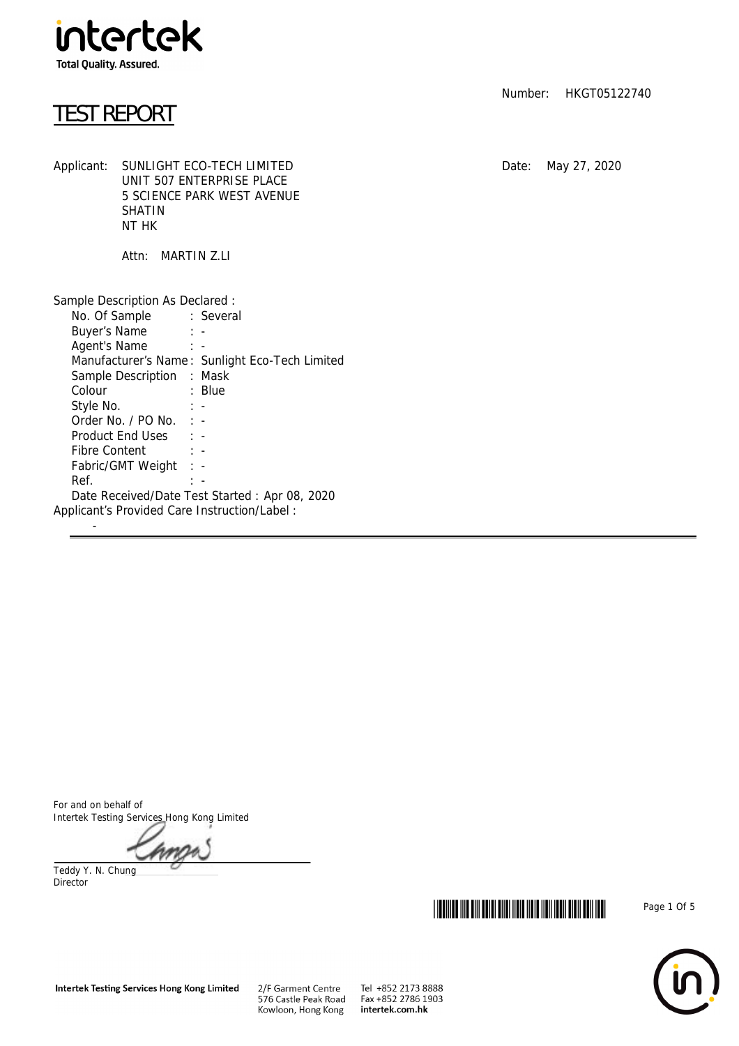

## TEST REPORT

Applicant: SUNLIGHT ECO-TECH LIMITED Date: May 27, 2020 UNIT 507 ENTERPRISE PLACE 5 SCIENCE PARK WEST AVENUE SHATIN NT HK

Attn: MARTIN Z.LI

| Sample Description As Declared :<br>No. Of Sample : Several                                                                                                                                                                                   |                                                |  |
|-----------------------------------------------------------------------------------------------------------------------------------------------------------------------------------------------------------------------------------------------|------------------------------------------------|--|
| Buyer's Name: : -                                                                                                                                                                                                                             |                                                |  |
| Agent's Name: : -                                                                                                                                                                                                                             |                                                |  |
|                                                                                                                                                                                                                                               | Manufacturer's Name: Sunlight Eco-Tech Limited |  |
| Sample Description : Mask                                                                                                                                                                                                                     |                                                |  |
| Colour<br><b>Example 1</b> Super Street Super Super Street Super Super Super Super Super Super Super Super Super Super Super Super Super Super Super Super Super Super Super Super Super Super Super Super Super Super Super Super Super Supe |                                                |  |
| Style No. : -                                                                                                                                                                                                                                 |                                                |  |
| Order No. $/$ PO No. $\cdot$ -                                                                                                                                                                                                                |                                                |  |
| Product End Uses : -                                                                                                                                                                                                                          |                                                |  |
| Fibre Content : -                                                                                                                                                                                                                             |                                                |  |
| Fabric/GMT Weight : -                                                                                                                                                                                                                         |                                                |  |
| Ref.                                                                                                                                                                                                                                          | $\mathbb{R}$ $\sim$                            |  |
|                                                                                                                                                                                                                                               | Date Received/Date Test Started: Apr 08, 2020  |  |
| Applicant's Provided Care Instruction/Label:                                                                                                                                                                                                  |                                                |  |
|                                                                                                                                                                                                                                               |                                                |  |

Number: HKGT05122740

For and on behalf of Intertek Testing Services Hong Kong Limited

Teddy Y. N. Chung Director





2/F Garment Centre<br>576 Castle Peak Road Kowloon, Hong Kong

Tel +852 2173 8888 Fax +852 2786 1903 intertek.com.hk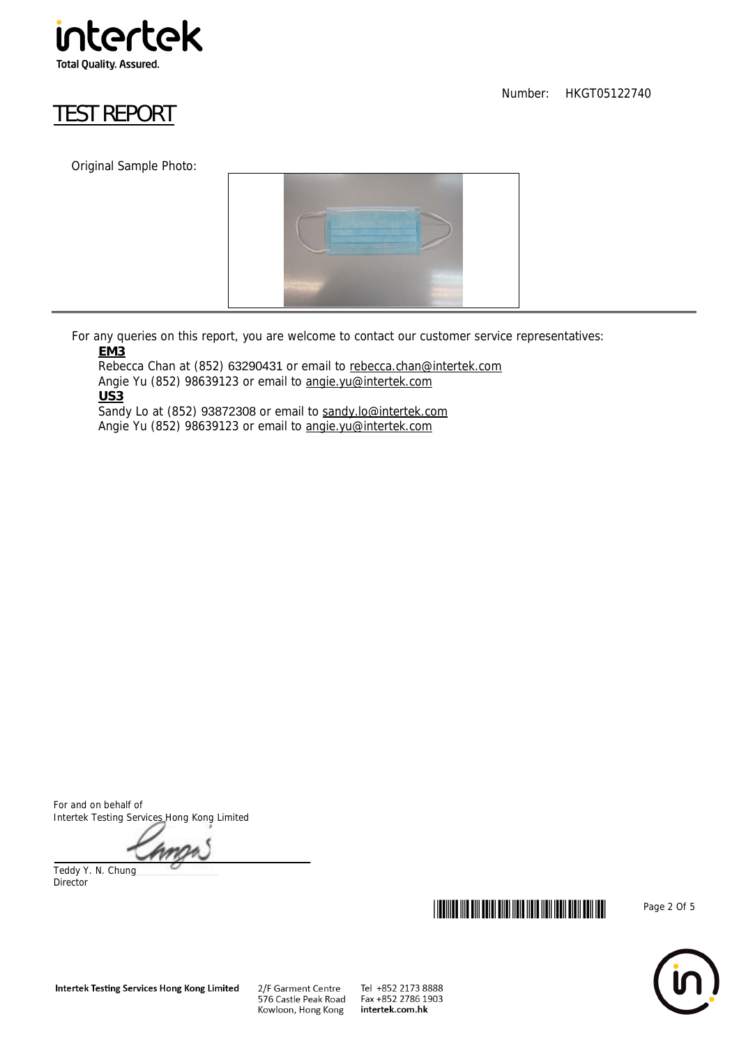

# TEST REPORT

Original Sample Photo:



 For any queries on this report, you are welcome to contact our customer service representatives: **EM3**

Rebecca Chan at (852) 63290431 or email to rebecca.chan@intertek.com Angie Yu (852) 98639123 or email to angie.yu@intertek.com **US3** Sandy Lo at (852) 93872308 or email to sandy.lo@intertek.com

Angie Yu (852) 98639123 or email to angie.yu@intertek.com

For and on behalf of Intertek Testing Services Hong Kong Limited

Teddy Y. N. Chung Director



Number: HKGT05122740



Tel +852 2173 8888 Fax +852 2786 1903 intertek.com.hk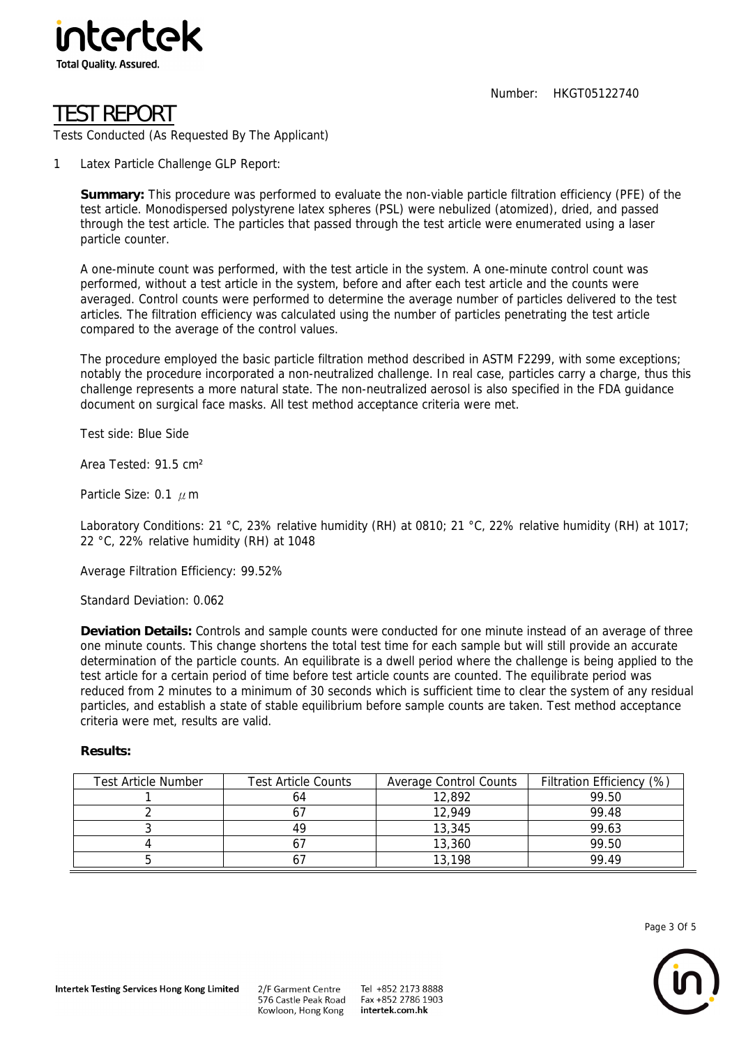

Number: HKGT05122740

# TEST REPORT

Tests Conducted (As Requested By The Applicant)

1 Latex Particle Challenge GLP Report:

**Summary:** This procedure was performed to evaluate the non-viable particle filtration efficiency (PFE) of the test article. Monodispersed polystyrene latex spheres (PSL) were nebulized (atomized), dried, and passed through the test article. The particles that passed through the test article were enumerated using a laser particle counter.

A one-minute count was performed, with the test article in the system. A one-minute control count was performed, without a test article in the system, before and after each test article and the counts were averaged. Control counts were performed to determine the average number of particles delivered to the test articles. The filtration efficiency was calculated using the number of particles penetrating the test article compared to the average of the control values.

The procedure employed the basic particle filtration method described in ASTM F2299, with some exceptions; notably the procedure incorporated a non-neutralized challenge. In real case, particles carry a charge, thus this challenge represents a more natural state. The non-neutralized aerosol is also specified in the FDA guidance document on surgical face masks. All test method acceptance criteria were met.

Test side: Blue Side

Area Tested: 91.5 cm²

Particle Size: 0.1  $\mu$  m

Laboratory Conditions: 21 °C, 23% relative humidity (RH) at 0810; 21 °C, 22% relative humidity (RH) at 1017; 22 °C, 22% relative humidity (RH) at 1048

Average Filtration Efficiency: 99.52%

Standard Deviation: 0.062

**Deviation Details:** Controls and sample counts were conducted for one minute instead of an average of three one minute counts. This change shortens the total test time for each sample but will still provide an accurate determination of the particle counts. An equilibrate is a dwell period where the challenge is being applied to the test article for a certain period of time before test article counts are counted. The equilibrate period was reduced from 2 minutes to a minimum of 30 seconds which is sufficient time to clear the system of any residual particles, and establish a state of stable equilibrium before sample counts are taken. Test method acceptance criteria were met, results are valid.

#### **Results:**

| <b>Test Article Number</b> | <b>Test Article Counts</b> | Average Control Counts | (%)<br><b>Filtration Efficiency</b> |
|----------------------------|----------------------------|------------------------|-------------------------------------|
|                            |                            | 12,892                 | 99.50                               |
|                            |                            | 12.949                 | 99.48                               |
|                            | 49                         | 13,345                 | 99.63                               |
|                            |                            | 13,360                 | 99.50                               |
|                            |                            | 13,198                 | 99 49                               |

Page 3 Of 5

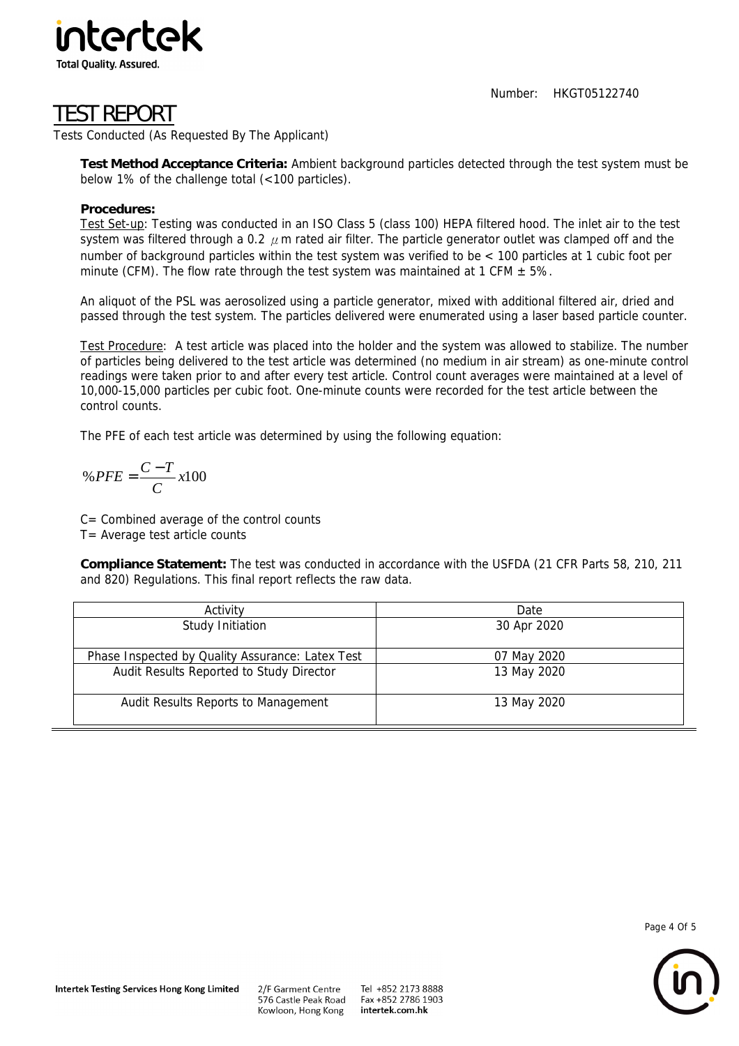Number: HKGT05122740



### TEST REPORT

Tests Conducted (As Requested By The Applicant)

**Test Method Acceptance Criteria:** Ambient background particles detected through the test system must be below 1% of the challenge total (<100 particles).

#### **Procedures:**

Test Set-up: Testing was conducted in an ISO Class 5 (class 100) HEPA filtered hood. The inlet air to the test system was filtered through a 0.2  $\mu$ m rated air filter. The particle generator outlet was clamped off and the number of background particles within the test system was verified to be < 100 particles at 1 cubic foot per minute (CFM). The flow rate through the test system was maintained at 1 CFM  $\pm$  5%.

An aliquot of the PSL was aerosolized using a particle generator, mixed with additional filtered air, dried and passed through the test system. The particles delivered were enumerated using a laser based particle counter.

Test Procedure: A test article was placed into the holder and the system was allowed to stabilize. The number of particles being delivered to the test article was determined (no medium in air stream) as one-minute control readings were taken prior to and after every test article. Control count averages were maintained at a level of 10,000-15,000 particles per cubic foot. One-minute counts were recorded for the test article between the control counts.

The PFE of each test article was determined by using the following equation:

$$
\% \, PFE = \frac{C - T}{C} \, x100
$$

C= Combined average of the control counts

T= Average test article counts

**Compliance Statement:** The test was conducted in accordance with the USFDA (21 CFR Parts 58, 210, 211 and 820) Regulations. This final report reflects the raw data.

| Activity                                         | Date        |  |
|--------------------------------------------------|-------------|--|
| Study Initiation                                 | 30 Apr 2020 |  |
| Phase Inspected by Quality Assurance: Latex Test | 07 May 2020 |  |
| Audit Results Reported to Study Director         | 13 May 2020 |  |
| Audit Results Reports to Management              | 13 May 2020 |  |

Page 4 Of 5